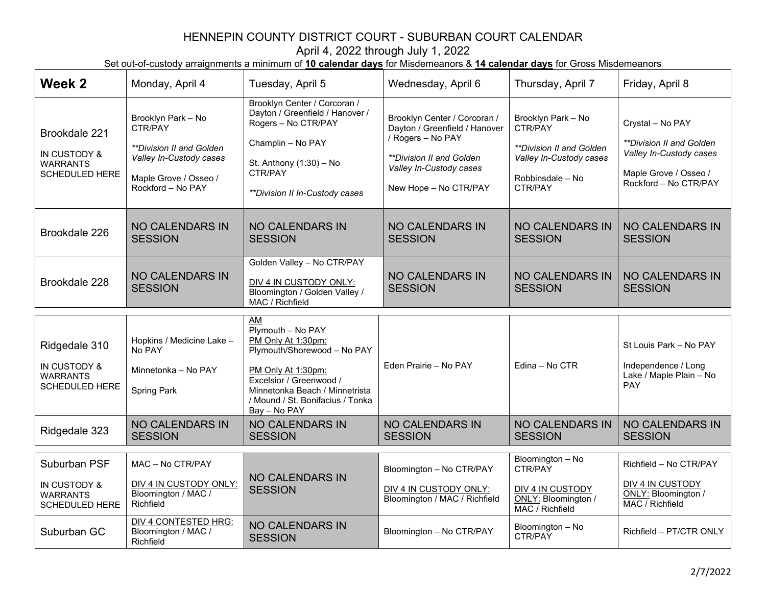| Week 2                                                                    | Monday, April 4                                                                                                                                  | Tuesday, April 5                                                                                                                                                                                                    | Wednesday, April 6                                                                                                                                                 | Thursday, April 7                                                                                                   | Friday, April 8                                                                                                                         |
|---------------------------------------------------------------------------|--------------------------------------------------------------------------------------------------------------------------------------------------|---------------------------------------------------------------------------------------------------------------------------------------------------------------------------------------------------------------------|--------------------------------------------------------------------------------------------------------------------------------------------------------------------|---------------------------------------------------------------------------------------------------------------------|-----------------------------------------------------------------------------------------------------------------------------------------|
| Brookdale 221<br>IN CUSTODY &<br><b>WARRANTS</b><br><b>SCHEDULED HERE</b> | Brooklyn Park - No<br>CTR/PAY<br><i><b>**Division II and Golden</b></i><br>Valley In-Custody cases<br>Maple Grove / Osseo /<br>Rockford - No PAY | Brooklyn Center / Corcoran /<br>Dayton / Greenfield / Hanover /<br>Rogers - No CTR/PAY<br>Champlin - No PAY<br>St. Anthony (1:30) - No<br>CTR/PAY<br>**Division II In-Custody cases                                 | Brooklyn Center / Corcoran /<br>Dayton / Greenfield / Hanover<br>/ Rogers - No PAY<br>**Division II and Golden<br>Valley In-Custody cases<br>New Hope - No CTR/PAY | Brooklyn Park - No<br>CTR/PAY<br>**Division II and Golden<br>Valley In-Custody cases<br>Robbinsdale - No<br>CTR/PAY | Crystal - No PAY<br><i><b>**Division II and Golden</b></i><br>Valley In-Custody cases<br>Maple Grove / Osseo /<br>Rockford - No CTR/PAY |
| Brookdale 226                                                             | <b>NO CALENDARS IN</b><br><b>SESSION</b>                                                                                                         | <b>NO CALENDARS IN</b><br><b>SESSION</b>                                                                                                                                                                            | <b>NO CALENDARS IN</b><br><b>SESSION</b>                                                                                                                           | <b>NO CALENDARS IN</b><br><b>SESSION</b>                                                                            | <b>NO CALENDARS IN</b><br><b>SESSION</b>                                                                                                |
| Brookdale 228                                                             | <b>NO CALENDARS IN</b><br><b>SESSION</b>                                                                                                         | Golden Valley - No CTR/PAY<br>DIV 4 IN CUSTODY ONLY:<br>Bloomington / Golden Valley /<br>MAC / Richfield                                                                                                            | <b>NO CALENDARS IN</b><br><b>SESSION</b>                                                                                                                           | <b>NO CALENDARS IN</b><br><b>SESSION</b>                                                                            | <b>NO CALENDARS IN</b><br><b>SESSION</b>                                                                                                |
| Ridgedale 310<br>IN CUSTODY &<br><b>WARRANTS</b><br><b>SCHEDULED HERE</b> | Hopkins / Medicine Lake -<br>No PAY<br>Minnetonka - No PAY<br><b>Spring Park</b>                                                                 | AM<br>Plymouth - No PAY<br>PM Only At 1:30pm:<br>Plymouth/Shorewood - No PAY<br>PM Only At 1:30pm:<br>Excelsior / Greenwood /<br>Minnetonka Beach / Minnetrista<br>/ Mound / St. Bonifacius / Tonka<br>Bay - No PAY | Eden Prairie - No PAY                                                                                                                                              | Edina - No CTR                                                                                                      | St Louis Park - No PAY<br>Independence / Long<br>Lake / Maple Plain - No<br>PAY                                                         |
| Ridgedale 323                                                             | <b>NO CALENDARS IN</b><br><b>SESSION</b>                                                                                                         | <b>NO CALENDARS IN</b><br><b>SESSION</b>                                                                                                                                                                            | <b>NO CALENDARS IN</b><br><b>SESSION</b>                                                                                                                           | <b>NO CALENDARS IN</b><br><b>SESSION</b>                                                                            | <b>NO CALENDARS IN</b><br><b>SESSION</b>                                                                                                |
|                                                                           |                                                                                                                                                  |                                                                                                                                                                                                                     |                                                                                                                                                                    |                                                                                                                     |                                                                                                                                         |
| Suburban PSF<br>IN CUSTODY &<br><b>WARRANTS</b><br>SCHEDULED HERE         | MAC - No CTR/PAY<br>DIV 4 IN CUSTODY ONLY:<br>Bloomington / MAC /<br>Richfield<br><b>DIV 4 CONTESTED HRG:</b>                                    | <b>NO CALENDARS IN</b><br><b>SESSION</b><br><b>NO CALENDARS IN</b>                                                                                                                                                  | Bloomington - No CTR/PAY<br>DIV 4 IN CUSTODY ONLY:<br>Bloomington / MAC / Richfield                                                                                | Bloomington - No<br>CTR/PAY<br>DIV 4 IN CUSTODY<br>ONLY: Bloomington /<br>MAC / Richfield<br>Bloomington - No       | Richfield - No CTR/PAY<br>DIV 4 IN CUSTODY<br>ONLY: Bloomington /<br>MAC / Richfield                                                    |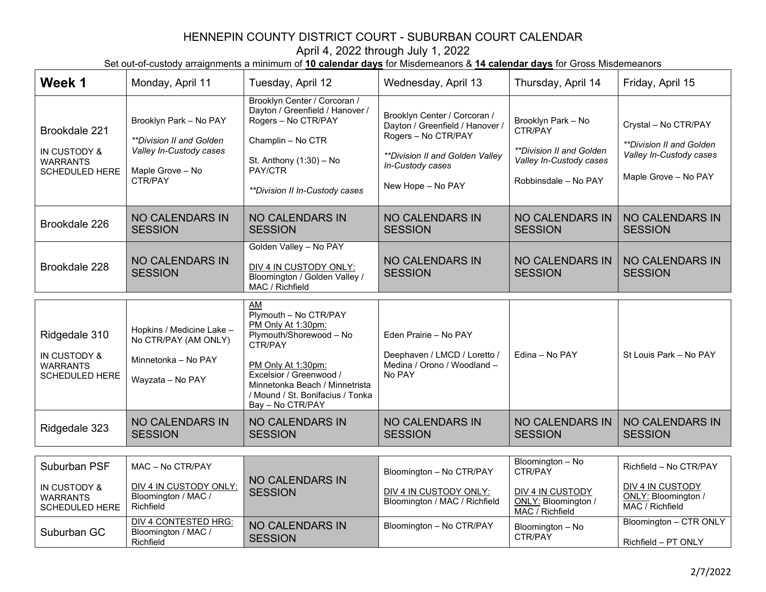| Week 1                                                                    | Monday, April 11                                                                                             | Tuesday, April 12                                                                                                                                                                   | Wednesday, April 13                                                                                                                                                | Thursday, April 14                                                                                                  | Friday, April 15                                                                                           |
|---------------------------------------------------------------------------|--------------------------------------------------------------------------------------------------------------|-------------------------------------------------------------------------------------------------------------------------------------------------------------------------------------|--------------------------------------------------------------------------------------------------------------------------------------------------------------------|---------------------------------------------------------------------------------------------------------------------|------------------------------------------------------------------------------------------------------------|
| Brookdale 221<br>IN CUSTODY &<br><b>WARRANTS</b><br><b>SCHEDULED HERE</b> | Brooklyn Park - No PAY<br>**Division II and Golden<br>Valley In-Custody cases<br>Maple Grove - No<br>CTR/PAY | Brooklyn Center / Corcoran /<br>Dayton / Greenfield / Hanover /<br>Rogers - No CTR/PAY<br>Champlin - No CTR<br>St. Anthony (1:30) - No<br>PAY/CTR<br>**Division II In-Custody cases | Brooklyn Center / Corcoran /<br>Dayton / Greenfield / Hanover /<br>Rogers - No CTR/PAY<br>**Division II and Golden Valley<br>In-Custody cases<br>New Hope - No PAY | Brooklyn Park - No<br>CTR/PAY<br><b>**Division II and Golden</b><br>Valley In-Custody cases<br>Robbinsdale - No PAY | Crystal - No CTR/PAY<br><i>**Division II and Golden</i><br>Valley In-Custody cases<br>Maple Grove - No PAY |
| Brookdale 226                                                             | <b>NO CALENDARS IN</b><br><b>SESSION</b>                                                                     | <b>NO CALENDARS IN</b><br><b>SESSION</b>                                                                                                                                            | <b>NO CALENDARS IN</b><br><b>SESSION</b>                                                                                                                           | <b>NO CALENDARS IN</b><br><b>SESSION</b>                                                                            | <b>NO CALENDARS IN</b><br><b>SESSION</b>                                                                   |
| Brookdale 228                                                             | <b>NO CALENDARS IN</b><br><b>SESSION</b>                                                                     | Golden Valley - No PAY<br>DIV 4 IN CUSTODY ONLY:<br>Bloomington / Golden Valley /<br>MAC / Richfield                                                                                | <b>NO CALENDARS IN</b><br><b>SESSION</b>                                                                                                                           | <b>NO CALENDARS IN</b><br><b>SESSION</b>                                                                            | <b>NO CALENDARS IN</b><br><b>SESSION</b>                                                                   |
|                                                                           |                                                                                                              | AM<br>Plymouth - No CTR/PAY<br>PM Only At 1:30pm:                                                                                                                                   |                                                                                                                                                                    |                                                                                                                     |                                                                                                            |
| Ridgedale 310<br>IN CUSTODY &<br><b>WARRANTS</b><br><b>SCHEDULED HERE</b> | Hopkins / Medicine Lake -<br>No CTR/PAY (AM ONLY)<br>Minnetonka - No PAY<br>Wayzata - No PAY                 | Plymouth/Shorewood - No<br>CTR/PAY<br>PM Only At 1:30pm:<br>Excelsior / Greenwood /<br>Minnetonka Beach / Minnetrista<br>/ Mound / St. Bonifacius / Tonka<br>Bay - No CTR/PAY       | Eden Prairie - No PAY<br>Deephaven / LMCD / Loretto /<br>Medina / Orono / Woodland -<br>No PAY                                                                     | Edina - No PAY                                                                                                      | St Louis Park - No PAY                                                                                     |
| Ridgedale 323                                                             | <b>NO CALENDARS IN</b><br><b>SESSION</b>                                                                     | <b>NO CALENDARS IN</b><br><b>SESSION</b>                                                                                                                                            | <b>NO CALENDARS IN</b><br><b>SESSION</b>                                                                                                                           | <b>NO CALENDARS IN</b><br><b>SESSION</b>                                                                            | <b>NO CALENDARS IN</b><br><b>SESSION</b>                                                                   |
| Suburban PSF                                                              | MAC - No CTR/PAY                                                                                             |                                                                                                                                                                                     |                                                                                                                                                                    | Bloomington - No                                                                                                    | Richfield - No CTR/PAY                                                                                     |
| IN CUSTODY &<br><b>WARRANTS</b><br><b>SCHEDULED HERE</b>                  | DIV 4 IN CUSTODY ONLY:<br>Bloomington / MAC /<br>Richfield                                                   | <b>NO CALENDARS IN</b><br><b>SESSION</b>                                                                                                                                            | Bloomington - No CTR/PAY<br>DIV 4 IN CUSTODY ONLY:<br>Bloomington / MAC / Richfield                                                                                | CTR/PAY<br>DIV 4 IN CUSTODY<br>ONLY: Bloomington /<br>MAC / Richfield                                               | DIV 4 IN CUSTODY<br>ONLY: Bloomington /<br>MAC / Richfield                                                 |
| Suburban GC                                                               | DIV 4 CONTESTED HRG:<br>Bloomington / MAC /<br>Richfield                                                     | <b>NO CALENDARS IN</b><br><b>SESSION</b>                                                                                                                                            | Bloomington - No CTR/PAY                                                                                                                                           | Bloomington - No<br>CTR/PAY                                                                                         | Bloomington - CTR ONLY<br>Richfield - PT ONLY                                                              |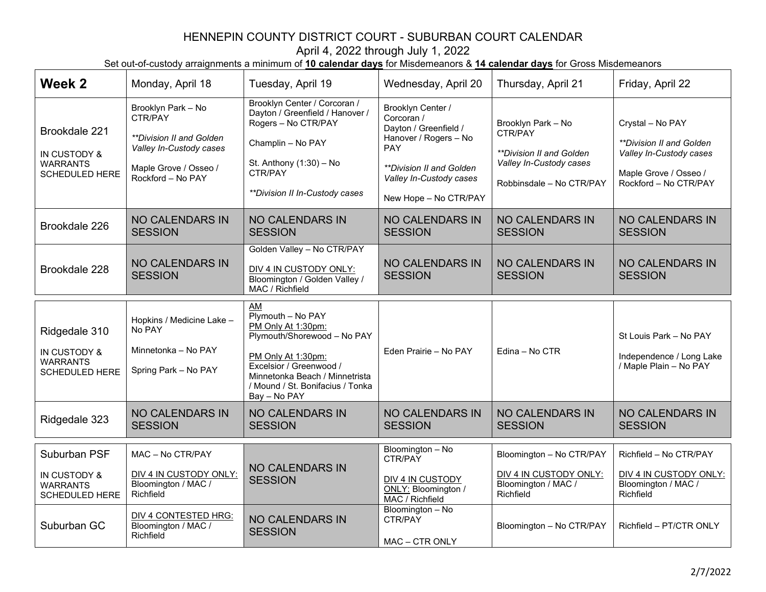| Week 2                                                                    | Monday, April 18                                                                                                                   | Tuesday, April 19                                                                                                                                                                                                   | Wednesday, April 20                                                                                                                                                                           | Thursday, April 21                                                                                               | Friday, April 22                                                                                                          |
|---------------------------------------------------------------------------|------------------------------------------------------------------------------------------------------------------------------------|---------------------------------------------------------------------------------------------------------------------------------------------------------------------------------------------------------------------|-----------------------------------------------------------------------------------------------------------------------------------------------------------------------------------------------|------------------------------------------------------------------------------------------------------------------|---------------------------------------------------------------------------------------------------------------------------|
| Brookdale 221<br>IN CUSTODY &<br><b>WARRANTS</b><br><b>SCHEDULED HERE</b> | Brooklyn Park - No<br>CTR/PAY<br>**Division II and Golden<br>Valley In-Custody cases<br>Maple Grove / Osseo /<br>Rockford - No PAY | Brooklyn Center / Corcoran /<br>Dayton / Greenfield / Hanover /<br>Rogers - No CTR/PAY<br>Champlin - No PAY<br>St. Anthony (1:30) - No<br>CTR/PAY<br>**Division II In-Custody cases                                 | Brooklyn Center /<br>Corcoran /<br>Dayton / Greenfield /<br>Hanover / Rogers - No<br><b>PAY</b><br><i><b>**Division II and Golden</b></i><br>Valley In-Custody cases<br>New Hope - No CTR/PAY | Brooklyn Park - No<br>CTR/PAY<br>**Division II and Golden<br>Valley In-Custody cases<br>Robbinsdale - No CTR/PAY | Crystal - No PAY<br>**Division II and Golden<br>Valley In-Custody cases<br>Maple Grove / Osseo /<br>Rockford - No CTR/PAY |
| Brookdale 226                                                             | <b>NO CALENDARS IN</b><br><b>SESSION</b>                                                                                           | <b>NO CALENDARS IN</b><br><b>SESSION</b>                                                                                                                                                                            | <b>NO CALENDARS IN</b><br><b>SESSION</b>                                                                                                                                                      | <b>NO CALENDARS IN</b><br><b>SESSION</b>                                                                         | <b>NO CALENDARS IN</b><br><b>SESSION</b>                                                                                  |
| Brookdale 228                                                             | <b>NO CALENDARS IN</b><br><b>SESSION</b>                                                                                           | Golden Valley - No CTR/PAY<br>DIV 4 IN CUSTODY ONLY:<br>Bloomington / Golden Valley /<br>MAC / Richfield                                                                                                            | <b>NO CALENDARS IN</b><br><b>SESSION</b>                                                                                                                                                      | <b>NO CALENDARS IN</b><br><b>SESSION</b>                                                                         | <b>NO CALENDARS IN</b><br><b>SESSION</b>                                                                                  |
| Ridgedale 310<br>IN CUSTODY &<br><b>WARRANTS</b><br><b>SCHEDULED HERE</b> | Hopkins / Medicine Lake -<br>No PAY<br>Minnetonka - No PAY<br>Spring Park - No PAY                                                 | AM<br>Plymouth - No PAY<br>PM Only At 1:30pm:<br>Plymouth/Shorewood - No PAY<br>PM Only At 1:30pm:<br>Excelsior / Greenwood /<br>Minnetonka Beach / Minnetrista<br>/ Mound / St. Bonifacius / Tonka<br>Bay - No PAY | Eden Prairie - No PAY                                                                                                                                                                         | Edina - No CTR                                                                                                   | St Louis Park - No PAY<br>Independence / Long Lake<br>/ Maple Plain - No PAY                                              |
| Ridgedale 323                                                             | <b>NO CALENDARS IN</b><br><b>SESSION</b>                                                                                           | <b>NO CALENDARS IN</b><br><b>SESSION</b>                                                                                                                                                                            | <b>NO CALENDARS IN</b><br><b>SESSION</b>                                                                                                                                                      | <b>NO CALENDARS IN</b><br><b>SESSION</b>                                                                         | <b>NO CALENDARS IN</b><br><b>SESSION</b>                                                                                  |
| Suburban PSF<br>IN CUSTODY &<br><b>WARRANTS</b><br><b>SCHEDULED HERE</b>  | MAC - No CTR/PAY<br>DIV 4 IN CUSTODY ONLY:<br>Bloomington / MAC /<br>Richfield                                                     | NO CALENDARS IN<br><b>SESSION</b>                                                                                                                                                                                   | Bloomington - No<br>CTR/PAY<br>DIV 4 IN CUSTODY<br>ONLY: Bloomington /<br>MAC / Richfield                                                                                                     | Bloomington - No CTR/PAY<br>DIV 4 IN CUSTODY ONLY:<br>Bloomington / MAC /<br>Richfield                           | Richfield - No CTR/PAY<br>DIV 4 IN CUSTODY ONLY:<br>Bloomington / MAC /<br>Richfield                                      |
| Suburban GC                                                               | <b>DIV 4 CONTESTED HRG:</b><br>Bloomington / MAC /<br>Richfield                                                                    | <b>NO CALENDARS IN</b><br><b>SESSION</b>                                                                                                                                                                            | Bloomington - No<br>CTR/PAY<br>MAC - CTR ONLY                                                                                                                                                 | Bloomington - No CTR/PAY                                                                                         | Richfield - PT/CTR ONLY                                                                                                   |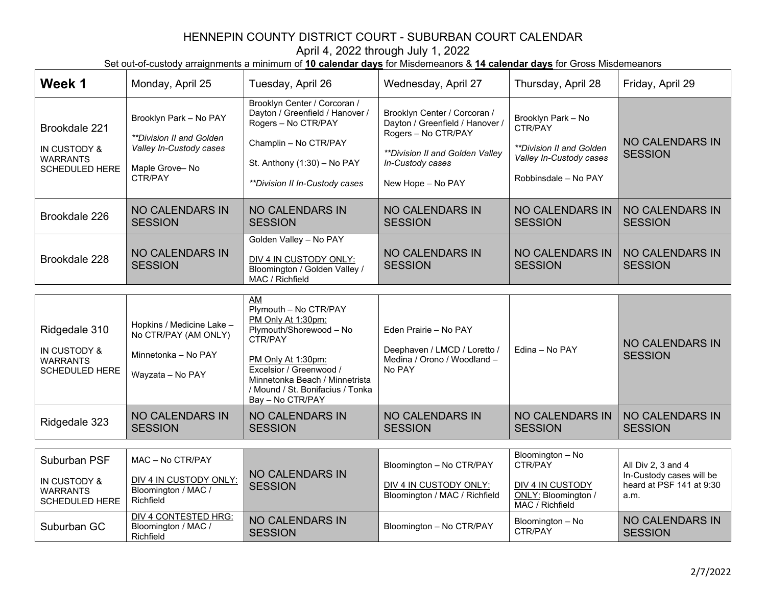| Week 1                                                                    | Monday, April 25                                                                                                  | Tuesday, April 26                                                                                                                                                                  | Wednesday, April 27                                                                                                                                                | Thursday, April 28                                                                                                  | Friday, April 29                         |
|---------------------------------------------------------------------------|-------------------------------------------------------------------------------------------------------------------|------------------------------------------------------------------------------------------------------------------------------------------------------------------------------------|--------------------------------------------------------------------------------------------------------------------------------------------------------------------|---------------------------------------------------------------------------------------------------------------------|------------------------------------------|
| Brookdale 221<br>IN CUSTODY &<br><b>WARRANTS</b><br><b>SCHEDULED HERE</b> | Brooklyn Park - No PAY<br><i>**Division II and Golden</i><br>Valley In-Custody cases<br>Maple Grove-No<br>CTR/PAY | Brooklyn Center / Corcoran /<br>Dayton / Greenfield / Hanover /<br>Rogers - No CTR/PAY<br>Champlin - No CTR/PAY<br>St. Anthony $(1:30)$ – No PAY<br>**Division II In-Custody cases | Brooklyn Center / Corcoran /<br>Dayton / Greenfield / Hanover /<br>Rogers - No CTR/PAY<br>**Division II and Golden Valley<br>In-Custody cases<br>New Hope - No PAY | Brooklyn Park - No<br>CTR/PAY<br><i>**Division II and Golden</i><br>Valley In-Custody cases<br>Robbinsdale - No PAY | <b>NO CALENDARS IN</b><br><b>SESSION</b> |
| Brookdale 226                                                             | NO CALENDARS IN<br><b>SESSION</b>                                                                                 | NO CALENDARS IN<br><b>SESSION</b>                                                                                                                                                  | <b>NO CALENDARS IN</b><br><b>SESSION</b>                                                                                                                           | <b>NO CALENDARS IN</b><br><b>SESSION</b>                                                                            | <b>NO CALENDARS IN</b><br><b>SESSION</b> |
| Brookdale 228                                                             | <b>NO CALENDARS IN</b><br><b>SESSION</b>                                                                          | Golden Valley - No PAY<br>DIV 4 IN CUSTODY ONLY:<br>Bloomington / Golden Valley /<br>MAC / Richfield                                                                               | <b>NO CALENDARS IN</b><br><b>SESSION</b>                                                                                                                           | <b>NO CALENDARS IN</b><br><b>SESSION</b>                                                                            | <b>NO CALENDARS IN</b><br><b>SESSION</b> |
|                                                                           | .                                                                                                                 | <b>AM</b><br>Plymouth - No CTR/PAY<br>PM Only At 1:30pm:                                                                                                                           |                                                                                                                                                                    |                                                                                                                     |                                          |

| Ridgedale 310<br>IN CUSTODY &<br><b>WARRANTS</b><br><b>SCHEDULED HERE</b> | Hopkins / Medicine Lake -<br>No CTR/PAY (AM ONLY)<br>Minnetonka - No PAY<br>Wayzata - No PAY | PM Only At 1:30pm:<br>Plymouth/Shorewood - No<br>CTR/PAY<br>PM Only At 1:30pm:<br>Excelsior / Greenwood /<br>Minnetonka Beach / Minnetrista<br>/ Mound / St. Bonifacius / Tonka<br>Bay - No CTR/PAY | Eden Prairie - No PAY<br>Deephaven / LMCD / Loretto /<br>Medina / Orono / Woodland -<br>No PAY | Edina - No PAY                    | NO CALENDARS IN<br><b>SESSION</b> |
|---------------------------------------------------------------------------|----------------------------------------------------------------------------------------------|-----------------------------------------------------------------------------------------------------------------------------------------------------------------------------------------------------|------------------------------------------------------------------------------------------------|-----------------------------------|-----------------------------------|
| Ridgedale 323                                                             | NO CALENDARS IN<br><b>SESSION</b>                                                            | NO CALENDARS IN<br><b>SESSION</b>                                                                                                                                                                   | NO CALENDARS IN<br><b>SESSION</b>                                                              | NO CALENDARS IN<br><b>SESSION</b> | NO CALENDARS IN<br><b>SESSION</b> |

| Suburban PSF<br>IN CUSTODY &<br>WARRANTS<br>SCHEDULED HERE | MAC - No CTR/PAY<br>DIV 4 IN CUSTODY ONLY:<br>Bloomington / MAC /<br>Richfield | NO CALENDARS IN<br><b>SESSION</b> | Bloomington - No CTR/PAY<br>DIV 4 IN CUSTODY ONLY:<br>Bloomington / MAC / Richfield | Bloomington - No<br>CTR/PAY<br>DIV 4 IN CUSTODY<br>ONLY: Bloomington /<br>MAC / Richfield | All Div 2, 3 and 4<br>In-Custody cases will be<br>heard at PSF 141 at $9:30$<br>a.m. |
|------------------------------------------------------------|--------------------------------------------------------------------------------|-----------------------------------|-------------------------------------------------------------------------------------|-------------------------------------------------------------------------------------------|--------------------------------------------------------------------------------------|
| Suburban GC                                                | DIV 4 CONTESTED HRG:<br>Bloomington / MAC /<br>Richfield                       | NO CALENDARS IN<br><b>SESSION</b> | Bloomington - No CTR/PAY                                                            | Bloomington - No<br>CTR/PAY                                                               | <b>NO CALENDARS IN</b><br><b>SESSION</b>                                             |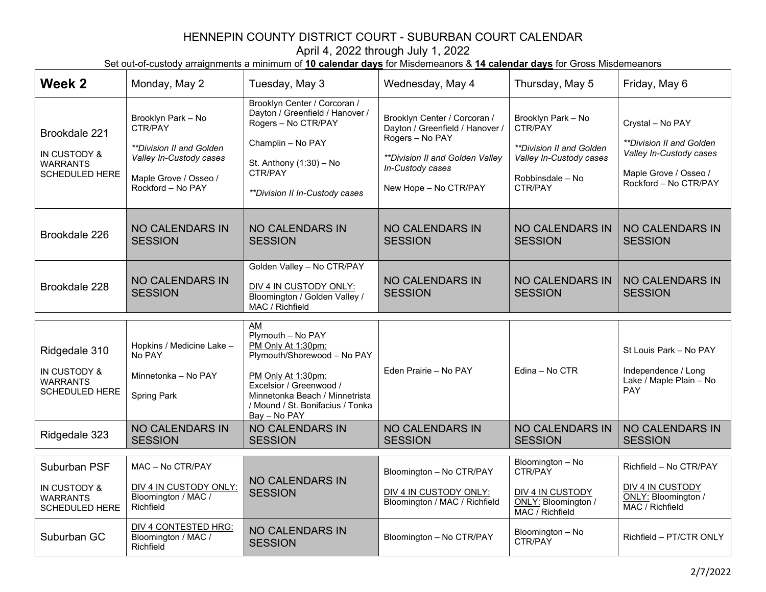| Week 2                                                                    | Monday, May 2                                                                                                                      | Tuesday, May 3                                                                                                                                                                                                | Wednesday, May 4                                                                                                                                                   | Thursday, May 5                                                                                                     | Friday, May 6                                                                                                             |
|---------------------------------------------------------------------------|------------------------------------------------------------------------------------------------------------------------------------|---------------------------------------------------------------------------------------------------------------------------------------------------------------------------------------------------------------|--------------------------------------------------------------------------------------------------------------------------------------------------------------------|---------------------------------------------------------------------------------------------------------------------|---------------------------------------------------------------------------------------------------------------------------|
| Brookdale 221<br>IN CUSTODY &<br><b>WARRANTS</b><br><b>SCHEDULED HERE</b> | Brooklyn Park - No<br>CTR/PAY<br>**Division II and Golden<br>Valley In-Custody cases<br>Maple Grove / Osseo /<br>Rockford - No PAY | Brooklyn Center / Corcoran /<br>Dayton / Greenfield / Hanover /<br>Rogers - No CTR/PAY<br>Champlin - No PAY<br>St. Anthony (1:30) - No<br>CTR/PAY<br>**Division II In-Custody cases                           | Brooklyn Center / Corcoran /<br>Dayton / Greenfield / Hanover /<br>Rogers - No PAY<br>**Division II and Golden Valley<br>In-Custody cases<br>New Hope - No CTR/PAY | Brooklyn Park - No<br>CTR/PAY<br>**Division II and Golden<br>Valley In-Custody cases<br>Robbinsdale - No<br>CTR/PAY | Crystal - No PAY<br>**Division II and Golden<br>Valley In-Custody cases<br>Maple Grove / Osseo /<br>Rockford - No CTR/PAY |
| Brookdale 226                                                             | <b>NO CALENDARS IN</b><br><b>SESSION</b>                                                                                           | <b>NO CALENDARS IN</b><br><b>SESSION</b>                                                                                                                                                                      | <b>NO CALENDARS IN</b><br><b>SESSION</b>                                                                                                                           | <b>NO CALENDARS IN</b><br><b>SESSION</b>                                                                            | <b>NO CALENDARS IN</b><br><b>SESSION</b>                                                                                  |
| Brookdale 228                                                             | <b>NO CALENDARS IN</b><br><b>SESSION</b>                                                                                           | Golden Valley - No CTR/PAY<br>DIV 4 IN CUSTODY ONLY:<br>Bloomington / Golden Valley /<br>MAC / Richfield                                                                                                      | <b>NO CALENDARS IN</b><br><b>SESSION</b>                                                                                                                           | <b>NO CALENDARS IN</b><br><b>SESSION</b>                                                                            | NO CALENDARS IN<br><b>SESSION</b>                                                                                         |
|                                                                           |                                                                                                                                    | AM                                                                                                                                                                                                            |                                                                                                                                                                    |                                                                                                                     |                                                                                                                           |
| Ridgedale 310<br>IN CUSTODY &<br><b>WARRANTS</b><br><b>SCHEDULED HERE</b> | Hopkins / Medicine Lake -<br>No PAY<br>Minnetonka - No PAY<br><b>Spring Park</b>                                                   | Plymouth - No PAY<br>PM Only At 1:30pm:<br>Plymouth/Shorewood - No PAY<br>PM Only At 1:30pm:<br>Excelsior / Greenwood /<br>Minnetonka Beach / Minnetrista<br>/ Mound / St. Bonifacius / Tonka<br>Bay - No PAY | Eden Prairie - No PAY                                                                                                                                              | Edina - No CTR                                                                                                      | St Louis Park - No PAY<br>Independence / Long<br>Lake / Maple Plain - No<br>PAY                                           |
| Ridgedale 323                                                             | <b>NO CALENDARS IN</b><br><b>SESSION</b>                                                                                           | <b>NO CALENDARS IN</b><br><b>SESSION</b>                                                                                                                                                                      | <b>NO CALENDARS IN</b><br><b>SESSION</b>                                                                                                                           | <b>NO CALENDARS IN</b><br><b>SESSION</b>                                                                            | <b>NO CALENDARS IN</b><br><b>SESSION</b>                                                                                  |
|                                                                           |                                                                                                                                    |                                                                                                                                                                                                               |                                                                                                                                                                    |                                                                                                                     |                                                                                                                           |
| Suburban PSF                                                              | MAC - No CTR/PAY                                                                                                                   |                                                                                                                                                                                                               | Bloomington - No CTR/PAY                                                                                                                                           | Bloomington - No<br>CTR/PAY                                                                                         | Richfield - No CTR/PAY                                                                                                    |
| IN CUSTODY &<br><b>WARRANTS</b><br><b>SCHEDULED HERE</b>                  | DIV 4 IN CUSTODY ONLY:<br>Bloomington / MAC /<br>Richfield                                                                         | <b>NO CALENDARS IN</b><br><b>SESSION</b>                                                                                                                                                                      | DIV 4 IN CUSTODY ONLY:<br>Bloomington / MAC / Richfield                                                                                                            | DIV 4 IN CUSTODY<br>ONLY: Bloomington /<br>MAC / Richfield                                                          | <b>DIV 4 IN CUSTODY</b><br>ONLY: Bloomington /<br>MAC / Richfield                                                         |
| Suburban GC                                                               | DIV 4 CONTESTED HRG:<br>Bloomington / MAC /<br>Richfield                                                                           | <b>NO CALENDARS IN</b><br><b>SESSION</b>                                                                                                                                                                      | Bloomington - No CTR/PAY                                                                                                                                           | Bloomington - No<br>CTR/PAY                                                                                         | Richfield - PT/CTR ONLY                                                                                                   |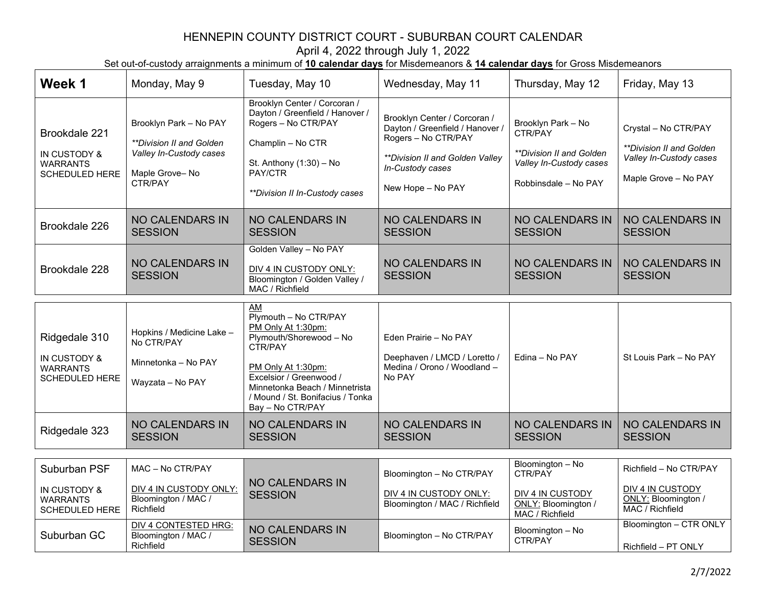| Week 1                                                                    | Monday, May 9                                                                                              | Tuesday, May 10                                                                                                                                                                                                              | Wednesday, May 11                                                                                                                                                  | Thursday, May 12                                                                                                           | Friday, May 13                                                                                             |
|---------------------------------------------------------------------------|------------------------------------------------------------------------------------------------------------|------------------------------------------------------------------------------------------------------------------------------------------------------------------------------------------------------------------------------|--------------------------------------------------------------------------------------------------------------------------------------------------------------------|----------------------------------------------------------------------------------------------------------------------------|------------------------------------------------------------------------------------------------------------|
| Brookdale 221<br>IN CUSTODY &<br><b>WARRANTS</b><br><b>SCHEDULED HERE</b> | Brooklyn Park - No PAY<br>**Division II and Golden<br>Valley In-Custody cases<br>Maple Grove-No<br>CTR/PAY | Brooklyn Center / Corcoran /<br>Dayton / Greenfield / Hanover /<br>Rogers - No CTR/PAY<br>Champlin - No CTR<br>St. Anthony (1:30) - No<br>PAY/CTR<br>**Division II In-Custody cases                                          | Brooklyn Center / Corcoran /<br>Dayton / Greenfield / Hanover /<br>Rogers - No CTR/PAY<br>**Division II and Golden Valley<br>In-Custody cases<br>New Hope - No PAY | Brooklyn Park - No<br>CTR/PAY<br><i><b>**Division II and Golden</b></i><br>Valley In-Custody cases<br>Robbinsdale - No PAY | Crystal - No CTR/PAY<br><i>**Division II and Golden</i><br>Valley In-Custody cases<br>Maple Grove - No PAY |
| Brookdale 226                                                             | <b>NO CALENDARS IN</b><br><b>SESSION</b>                                                                   | <b>NO CALENDARS IN</b><br><b>SESSION</b>                                                                                                                                                                                     | <b>NO CALENDARS IN</b><br><b>SESSION</b>                                                                                                                           | <b>NO CALENDARS IN</b><br><b>SESSION</b>                                                                                   | <b>NO CALENDARS IN</b><br><b>SESSION</b>                                                                   |
| Brookdale 228                                                             | <b>NO CALENDARS IN</b><br><b>SESSION</b>                                                                   | Golden Valley - No PAY<br>DIV 4 IN CUSTODY ONLY:<br>Bloomington / Golden Valley /<br>MAC / Richfield                                                                                                                         | <b>NO CALENDARS IN</b><br><b>SESSION</b>                                                                                                                           | <b>NO CALENDARS IN</b><br><b>SESSION</b>                                                                                   | <b>NO CALENDARS IN</b><br><b>SESSION</b>                                                                   |
|                                                                           |                                                                                                            | AM                                                                                                                                                                                                                           |                                                                                                                                                                    |                                                                                                                            |                                                                                                            |
| Ridgedale 310<br>IN CUSTODY &<br><b>WARRANTS</b><br><b>SCHEDULED HERE</b> | Hopkins / Medicine Lake -<br>No CTR/PAY<br>Minnetonka - No PAY<br>Wayzata - No PAY                         | Plymouth - No CTR/PAY<br>PM Only At 1:30pm:<br>Plymouth/Shorewood - No<br>CTR/PAY<br>PM Only At 1:30pm:<br>Excelsior / Greenwood /<br>Minnetonka Beach / Minnetrista<br>/ Mound / St. Bonifacius / Tonka<br>Bay - No CTR/PAY | Eden Prairie - No PAY<br>Deephaven / LMCD / Loretto /<br>Medina / Orono / Woodland -<br>No PAY                                                                     | Edina - No PAY                                                                                                             | St Louis Park - No PAY                                                                                     |
| Ridgedale 323                                                             | <b>NO CALENDARS IN</b><br><b>SESSION</b>                                                                   | <b>NO CALENDARS IN</b><br><b>SESSION</b>                                                                                                                                                                                     | <b>NO CALENDARS IN</b><br><b>SESSION</b>                                                                                                                           | <b>NO CALENDARS IN</b><br><b>SESSION</b>                                                                                   | <b>NO CALENDARS IN</b><br><b>SESSION</b>                                                                   |
|                                                                           |                                                                                                            |                                                                                                                                                                                                                              |                                                                                                                                                                    | Bloomington - No                                                                                                           |                                                                                                            |
| Suburban PSF                                                              | MAC - No CTR/PAY                                                                                           |                                                                                                                                                                                                                              | Bloomington - No CTR/PAY                                                                                                                                           | CTR/PAY                                                                                                                    | Richfield - No CTR/PAY                                                                                     |
| IN CUSTODY &<br><b>WARRANTS</b><br><b>SCHEDULED HERE</b>                  | DIV 4 IN CUSTODY ONLY:<br>Bloomington / MAC /<br>Richfield                                                 | <b>NO CALENDARS IN</b><br><b>SESSION</b>                                                                                                                                                                                     | DIV 4 IN CUSTODY ONLY:<br>Bloomington / MAC / Richfield                                                                                                            | DIV 4 IN CUSTODY<br>ONLY: Bloomington /<br>MAC / Richfield                                                                 | DIV 4 IN CUSTODY<br>ONLY: Bloomington /<br>MAC / Richfield                                                 |
| Suburban GC                                                               | <b>DIV 4 CONTESTED HRG:</b><br>Bloomington / MAC /<br>Richfield                                            | <b>NO CALENDARS IN</b><br><b>SESSION</b>                                                                                                                                                                                     | Bloomington - No CTR/PAY                                                                                                                                           | Bloomington - No<br>CTR/PAY                                                                                                | Bloomington - CTR ONLY<br>Richfield - PT ONLY                                                              |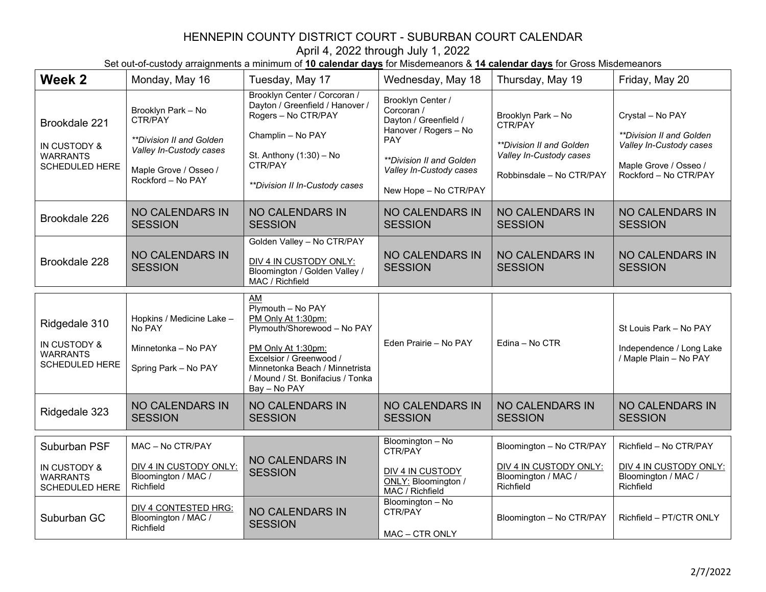| Week 2                                                                    | Monday, May 16                                                                                                                      | Tuesday, May 17                                                                                                                                                                                                        | Wednesday, May 18                                                                                                                                                               | Thursday, May 19                                                                                                 | Friday, May 20                                                                                                                          |
|---------------------------------------------------------------------------|-------------------------------------------------------------------------------------------------------------------------------------|------------------------------------------------------------------------------------------------------------------------------------------------------------------------------------------------------------------------|---------------------------------------------------------------------------------------------------------------------------------------------------------------------------------|------------------------------------------------------------------------------------------------------------------|-----------------------------------------------------------------------------------------------------------------------------------------|
| Brookdale 221<br>IN CUSTODY &<br><b>WARRANTS</b><br><b>SCHEDULED HERE</b> | Brooklyn Park - No<br>CTR/PAY<br>**Division II and Golden*<br>Valley In-Custody cases<br>Maple Grove / Osseo /<br>Rockford - No PAY | Brooklyn Center / Corcoran /<br>Dayton / Greenfield / Hanover /<br>Rogers - No CTR/PAY<br>Champlin - No PAY<br>St. Anthony $(1:30)$ - No<br>CTR/PAY<br>**Division II In-Custody cases                                  | Brooklyn Center /<br>Corcoran /<br>Dayton / Greenfield /<br>Hanover / Rogers - No<br>PAY<br><i>**Division II and Golden</i><br>Valley In-Custody cases<br>New Hope - No CTR/PAY | Brooklyn Park - No<br>CTR/PAY<br>**Division II and Golden<br>Valley In-Custody cases<br>Robbinsdale - No CTR/PAY | Crystal - No PAY<br><i><b>**Division II and Golden</b></i><br>Valley In-Custody cases<br>Maple Grove / Osseo /<br>Rockford - No CTR/PAY |
| Brookdale 226                                                             | <b>NO CALENDARS IN</b><br><b>SESSION</b>                                                                                            | <b>NO CALENDARS IN</b><br><b>SESSION</b>                                                                                                                                                                               | <b>NO CALENDARS IN</b><br><b>SESSION</b>                                                                                                                                        | <b>NO CALENDARS IN</b><br><b>SESSION</b>                                                                         | <b>NO CALENDARS IN</b><br><b>SESSION</b>                                                                                                |
| Brookdale 228                                                             | <b>NO CALENDARS IN</b><br><b>SESSION</b>                                                                                            | Golden Valley - No CTR/PAY<br>DIV 4 IN CUSTODY ONLY:<br>Bloomington / Golden Valley /<br>MAC / Richfield                                                                                                               | <b>NO CALENDARS IN</b><br><b>SESSION</b>                                                                                                                                        | <b>NO CALENDARS IN</b><br><b>SESSION</b>                                                                         | <b>NO CALENDARS IN</b><br><b>SESSION</b>                                                                                                |
| Ridgedale 310<br>IN CUSTODY &<br><b>WARRANTS</b><br><b>SCHEDULED HERE</b> | Hopkins / Medicine Lake -<br>No PAY<br>Minnetonka - No PAY<br>Spring Park - No PAY                                                  | AM<br>$Ply$ mouth - No PAY<br>PM Only At 1:30pm:<br>Plymouth/Shorewood - No PAY<br>PM Only At 1:30pm:<br>Excelsior / Greenwood /<br>Minnetonka Beach / Minnetrista<br>/ Mound / St. Bonifacius / Tonka<br>Bay - No PAY | Eden Prairie - No PAY                                                                                                                                                           | Edina - No CTR                                                                                                   | St Louis Park - No PAY<br>Independence / Long Lake<br>/ Maple Plain - No PAY                                                            |
| Ridgedale 323                                                             | <b>NO CALENDARS IN</b><br><b>SESSION</b>                                                                                            | <b>NO CALENDARS IN</b><br><b>SESSION</b>                                                                                                                                                                               | <b>NO CALENDARS IN</b><br><b>SESSION</b>                                                                                                                                        | <b>NO CALENDARS IN</b><br><b>SESSION</b>                                                                         | <b>NO CALENDARS IN</b><br><b>SESSION</b>                                                                                                |
| Suburban PSF                                                              | MAC - No CTR/PAY                                                                                                                    |                                                                                                                                                                                                                        | Bloomington - No<br>CTR/PAY                                                                                                                                                     | Bloomington - No CTR/PAY                                                                                         | Richfield - No CTR/PAY                                                                                                                  |
| IN CUSTODY &<br><b>WARRANTS</b><br><b>SCHEDULED HERE</b>                  | DIV 4 IN CUSTODY ONLY:<br>Bloomington / MAC /<br>Richfield                                                                          | <b>NO CALENDARS IN</b><br><b>SESSION</b>                                                                                                                                                                               | DIV 4 IN CUSTODY<br>ONLY: Bloomington /<br>MAC / Richfield                                                                                                                      | DIV 4 IN CUSTODY ONLY:<br>Bloomington / MAC /<br>Richfield                                                       | DIV 4 IN CUSTODY ONLY:<br>Bloomington / MAC /<br>Richfield                                                                              |
| Suburban GC                                                               | <b>DIV 4 CONTESTED HRG:</b><br>Bloomington / MAC /<br>Richfield                                                                     | <b>NO CALENDARS IN</b><br><b>SESSION</b>                                                                                                                                                                               | Bloomington - No<br>CTR/PAY<br>MAC - CTR ONLY                                                                                                                                   | Bloomington - No CTR/PAY                                                                                         | Richfield - PT/CTR ONLY                                                                                                                 |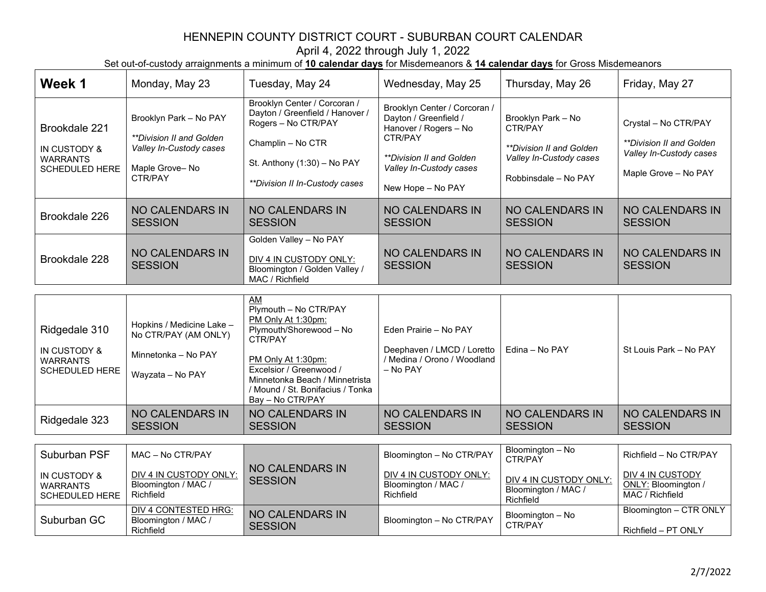| Week 1                                                                    | Monday, May 23                                                                                                                  | Tuesday, May 24                                                                                                                                                                | Wednesday, May 25                                                                                                                                                     | Thursday, May 26                                                                                             | Friday, May 27                                                                                             |
|---------------------------------------------------------------------------|---------------------------------------------------------------------------------------------------------------------------------|--------------------------------------------------------------------------------------------------------------------------------------------------------------------------------|-----------------------------------------------------------------------------------------------------------------------------------------------------------------------|--------------------------------------------------------------------------------------------------------------|------------------------------------------------------------------------------------------------------------|
| Brookdale 221<br>IN CUSTODY &<br><b>WARRANTS</b><br><b>SCHEDULED HERE</b> | Brooklyn Park - No PAY<br><i><b>**Division II and Golden</b></i><br>Valley In-Custody cases<br>Maple Grove-No<br><b>CTR/PAY</b> | Brooklyn Center / Corcoran /<br>Dayton / Greenfield / Hanover /<br>Rogers - No CTR/PAY<br>Champlin - No CTR<br>St. Anthony $(1:30)$ – No PAY<br>**Division II In-Custody cases | Brooklyn Center / Corcoran /<br>Dayton / Greenfield /<br>Hanover / Rogers - No<br>CTR/PAY<br>**Division II and Golden<br>Valley In-Custody cases<br>New Hope - No PAY | Brooklyn Park - No<br>CTR/PAY<br>**Division II and Golden<br>Valley In-Custody cases<br>Robbinsdale - No PAY | Crystal - No CTR/PAY<br><i>**Division II and Golden</i><br>Valley In-Custody cases<br>Maple Grove - No PAY |
| Brookdale 226                                                             | <b>NO CALENDARS IN</b><br><b>SESSION</b>                                                                                        | <b>NO CALENDARS IN</b><br><b>SESSION</b>                                                                                                                                       | <b>NO CALENDARS IN</b><br><b>SESSION</b>                                                                                                                              | <b>NO CALENDARS IN</b><br><b>SESSION</b>                                                                     | NO CALENDARS IN<br><b>SESSION</b>                                                                          |
| Brookdale 228                                                             | <b>NO CALENDARS IN</b><br><b>SESSION</b>                                                                                        | Golden Valley - No PAY<br>DIV 4 IN CUSTODY ONLY:<br>Bloomington / Golden Valley /<br>MAC / Richfield                                                                           | <b>NO CALENDARS IN</b><br><b>SESSION</b>                                                                                                                              | <b>NO CALENDARS IN</b><br><b>SESSION</b>                                                                     | NO CALENDARS IN<br><b>SESSION</b>                                                                          |
|                                                                           |                                                                                                                                 | AM<br>Dhimouth No CTD/DAV                                                                                                                                                      |                                                                                                                                                                       |                                                                                                              |                                                                                                            |

| Ridgedale 310<br>IN CUSTODY &<br><b>WARRANTS</b><br>SCHEDULED HERE | Hopkins / Medicine Lake -<br>No CTR/PAY (AM ONLY)<br>Minnetonka - No PAY<br>Wayzata - No PAY | AM<br>Plymouth - No CTR/PAY<br>PM Only At 1:30pm:<br>Plymouth/Shorewood - No<br>CTR/PAY<br>PM Only At 1:30pm:<br>Excelsior / Greenwood /<br>Minnetonka Beach / Minnetrista<br>/ Mound / St. Bonifacius / Tonka<br>Bay - No CTR/PAY | Eden Prairie - No PAY<br>Deephaven / LMCD / Loretto<br>/ Medina / Orono / Woodland<br>$-$ No PAY | Edina - No PAY                           | St Louis Park - No PAY            |
|--------------------------------------------------------------------|----------------------------------------------------------------------------------------------|------------------------------------------------------------------------------------------------------------------------------------------------------------------------------------------------------------------------------------|--------------------------------------------------------------------------------------------------|------------------------------------------|-----------------------------------|
| Ridgedale 323                                                      | <b>NO CALENDARS IN</b><br><b>SESSION</b>                                                     | NO CALENDARS IN<br><b>SESSION</b>                                                                                                                                                                                                  | NO CALENDARS IN<br><b>SESSION</b>                                                                | <b>NO CALENDARS IN</b><br><b>SESSION</b> | NO CALENDARS IN<br><b>SESSION</b> |

| Suburban PSF                                      | MAC - No CTR/PAY                                           |                                   | Bloomington - No CTR/PAY                                   | Bloomington - No<br>CTR/PAY                                | Richfield - No CTR/PAY                                     |
|---------------------------------------------------|------------------------------------------------------------|-----------------------------------|------------------------------------------------------------|------------------------------------------------------------|------------------------------------------------------------|
| IN CUSTODY &<br>WARRANTS<br><b>SCHEDULED HERE</b> | DIV 4 IN CUSTODY ONLY:<br>Bloomington / MAC /<br>Richfield | NO CALENDARS IN<br><b>SESSION</b> | DIV 4 IN CUSTODY ONLY:<br>Bloomington / MAC /<br>Richfield | DIV 4 IN CUSTODY ONLY:<br>Bloomington / MAC /<br>Richfield | DIV 4 IN CUSTODY<br>ONLY: Bloomington /<br>MAC / Richfield |
| Suburban GC                                       | DIV 4 CONTESTED HRG:<br>Bloomington / MAC /<br>Richfield   | NO CALENDARS IN<br><b>SESSION</b> | Bloomington - No CTR/PAY                                   | Bloomington - No<br>CTR/PAY                                | Bloomington - CTR ONLY<br>Richfield - PT ONLY              |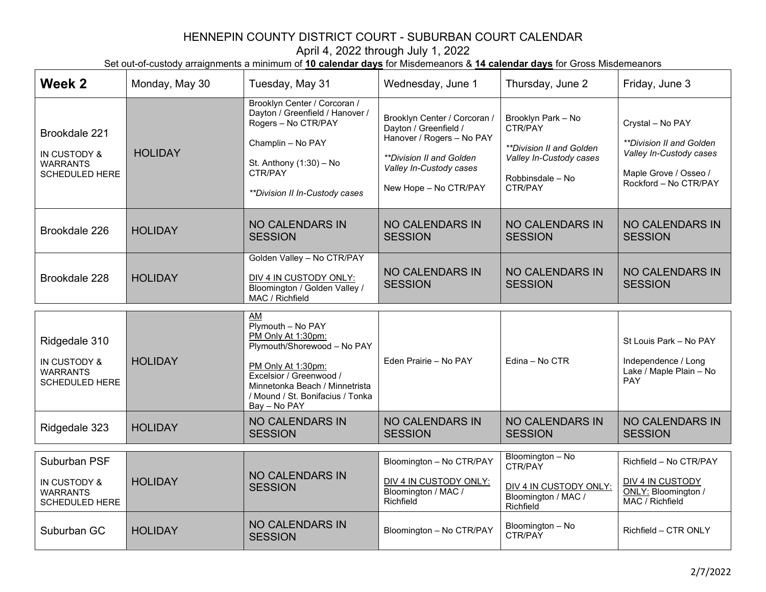| Week 2                                                                    | Monday, May 30 | Tuesday, May 31                                                                                                                                                                                                            | Wednesday, June 1                                                                                                                                                  | Thursday, June 2                                                                                                    | Friday, June 3                                                                                                                          |
|---------------------------------------------------------------------------|----------------|----------------------------------------------------------------------------------------------------------------------------------------------------------------------------------------------------------------------------|--------------------------------------------------------------------------------------------------------------------------------------------------------------------|---------------------------------------------------------------------------------------------------------------------|-----------------------------------------------------------------------------------------------------------------------------------------|
| Brookdale 221<br>IN CUSTODY &<br><b>WARRANTS</b><br><b>SCHEDULED HERE</b> | <b>HOLIDAY</b> | Brooklyn Center / Corcoran /<br>Dayton / Greenfield / Hanover /<br>Rogers - No CTR/PAY<br>Champlin - No PAY<br>St. Anthony (1:30) - No<br>CTR/PAY<br>**Division II In-Custody cases                                        | Brooklyn Center / Corcoran /<br>Dayton / Greenfield /<br>Hanover / Rogers - No PAY<br>**Division II and Golden<br>Valley In-Custody cases<br>New Hope - No CTR/PAY | Brooklyn Park - No<br>CTR/PAY<br>**Division II and Golden<br>Valley In-Custody cases<br>Robbinsdale - No<br>CTR/PAY | Crystal - No PAY<br><i><b>**Division II and Golden</b></i><br>Valley In-Custody cases<br>Maple Grove / Osseo /<br>Rockford - No CTR/PAY |
| Brookdale 226                                                             | <b>HOLIDAY</b> | <b>NO CALENDARS IN</b><br><b>SESSION</b>                                                                                                                                                                                   | <b>NO CALENDARS IN</b><br><b>SESSION</b>                                                                                                                           | <b>NO CALENDARS IN</b><br><b>SESSION</b>                                                                            | <b>NO CALENDARS IN</b><br><b>SESSION</b>                                                                                                |
| Brookdale 228                                                             | <b>HOLIDAY</b> | Golden Valley - No CTR/PAY<br>DIV 4 IN CUSTODY ONLY:<br>Bloomington / Golden Valley /<br>MAC / Richfield                                                                                                                   | <b>NO CALENDARS IN</b><br><b>SESSION</b>                                                                                                                           | <b>NO CALENDARS IN</b><br><b>SESSION</b>                                                                            | <b>NO CALENDARS IN</b><br><b>SESSION</b>                                                                                                |
| Ridgedale 310<br>IN CUSTODY &<br><b>WARRANTS</b><br><b>SCHEDULED HERE</b> | <b>HOLIDAY</b> | <b>AM</b><br>Plymouth - No PAY<br>PM Only At 1:30pm:<br>Plymouth/Shorewood - No PAY<br>PM Only At 1:30pm:<br>Excelsior / Greenwood /<br>Minnetonka Beach / Minnetrista<br>/ Mound / St. Bonifacius / Tonka<br>Bay - No PAY | Eden Prairie - No PAY                                                                                                                                              | Edina - No CTR                                                                                                      | St Louis Park - No PAY<br>Independence / Long<br>Lake / Maple Plain - No<br>PAY                                                         |
| Ridgedale 323                                                             | <b>HOLIDAY</b> | <b>NO CALENDARS IN</b><br><b>SESSION</b>                                                                                                                                                                                   | <b>NO CALENDARS IN</b><br><b>SESSION</b>                                                                                                                           | <b>NO CALENDARS IN</b><br><b>SESSION</b>                                                                            | <b>NO CALENDARS IN</b><br><b>SESSION</b>                                                                                                |
| Suburban PSF<br>IN CUSTODY &<br><b>WARRANTS</b><br><b>SCHEDULED HERE</b>  | <b>HOLIDAY</b> | <b>NO CALENDARS IN</b><br><b>SESSION</b><br><b>NO CALENDARS IN</b>                                                                                                                                                         | Bloomington - No CTR/PAY<br>DIV 4 IN CUSTODY ONLY:<br>Bloomington / MAC /<br>Richfield                                                                             | Bloomington - No<br>CTR/PAY<br>DIV 4 IN CUSTODY ONLY:<br>Bloomington / MAC /<br>Richfield                           | Richfield - No CTR/PAY<br>DIV 4 IN CUSTODY<br>ONLY: Bloomington /<br>MAC / Richfield                                                    |
| Suburban GC                                                               | <b>HOLIDAY</b> | <b>SESSION</b>                                                                                                                                                                                                             | Bloomington - No CTR/PAY                                                                                                                                           | Bloomington - No<br>CTR/PAY                                                                                         | Richfield - CTR ONLY                                                                                                                    |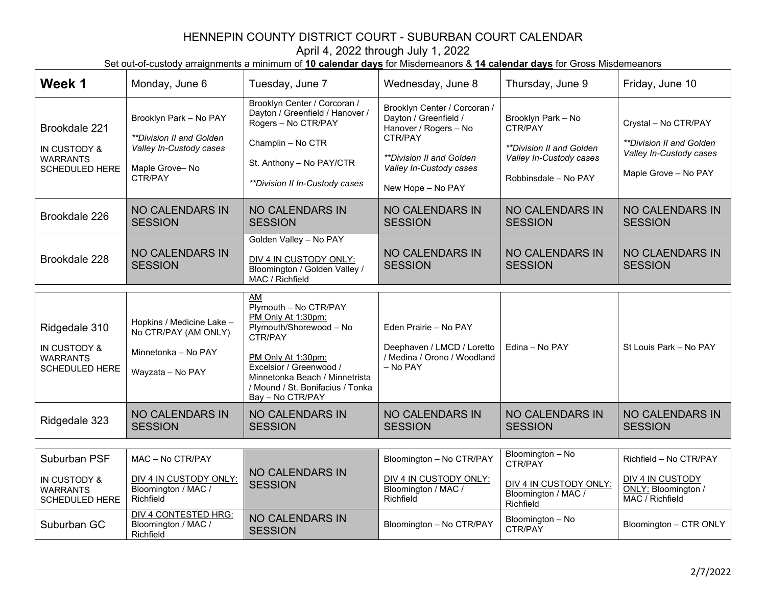| Week 1                                                                               | Monday, June 6                                                                                                | Tuesday, June 7                                                                                                                                                                                                                    | Wednesday, June 8                                                                                                                                                     | Thursday, June 9                                                                                             | Friday, June 10                                                                                     |
|--------------------------------------------------------------------------------------|---------------------------------------------------------------------------------------------------------------|------------------------------------------------------------------------------------------------------------------------------------------------------------------------------------------------------------------------------------|-----------------------------------------------------------------------------------------------------------------------------------------------------------------------|--------------------------------------------------------------------------------------------------------------|-----------------------------------------------------------------------------------------------------|
| Brookdale 221<br>IN CUSTODY &<br><b>WARRANTS</b><br><b>SCHEDULED HERE</b>            | Brooklyn Park - No PAY<br>**Division II and Golden<br>Valley In-Custody cases<br>Maple Grove-No<br>CTR/PAY    | Brooklyn Center / Corcoran /<br>Dayton / Greenfield / Hanover /<br>Rogers - No CTR/PAY<br>Champlin - No CTR<br>St. Anthony - No PAY/CTR<br>**Division II In-Custody cases                                                          | Brooklyn Center / Corcoran /<br>Dayton / Greenfield /<br>Hanover / Rogers - No<br>CTR/PAY<br>**Division II and Golden<br>Valley In-Custody cases<br>New Hope - No PAY | Brooklyn Park - No<br>CTR/PAY<br>**Division II and Golden<br>Valley In-Custody cases<br>Robbinsdale - No PAY | Crystal - No CTR/PAY<br>**Division II and Golden<br>Valley In-Custody cases<br>Maple Grove - No PAY |
| Brookdale 226                                                                        | <b>NO CALENDARS IN</b><br><b>SESSION</b>                                                                      | <b>NO CALENDARS IN</b><br><b>SESSION</b>                                                                                                                                                                                           | NO CALENDARS IN<br><b>SESSION</b>                                                                                                                                     | <b>NO CALENDARS IN</b><br><b>SESSION</b>                                                                     | <b>NO CALENDARS IN</b><br><b>SESSION</b>                                                            |
| Brookdale 228                                                                        | <b>NO CALENDARS IN</b><br><b>SESSION</b>                                                                      | Golden Valley - No PAY<br>DIV 4 IN CUSTODY ONLY:<br>Bloomington / Golden Valley /<br>MAC / Richfield                                                                                                                               | <b>NO CALENDARS IN</b><br><b>SESSION</b>                                                                                                                              | <b>NO CALENDARS IN</b><br><b>SESSION</b>                                                                     | <b>NO CLAENDARS IN</b><br><b>SESSION</b>                                                            |
| Ridgedale 310<br><b>IN CUSTODY &amp;</b><br><b>WARRANTS</b><br><b>SCHEDULED HERE</b> | Hopkins / Medicine Lake -<br>No CTR/PAY (AM ONLY)<br>Minnetonka - No PAY<br>Wayzata - No PAY                  | AM<br>Plymouth - No CTR/PAY<br>PM Only At 1:30pm:<br>Plymouth/Shorewood - No<br>CTR/PAY<br>PM Only At 1:30pm:<br>Excelsior / Greenwood /<br>Minnetonka Beach / Minnetrista<br>/ Mound / St. Bonifacius / Tonka<br>Bay - No CTR/PAY | Eden Prairie - No PAY<br>Deephaven / LMCD / Loretto<br>/ Medina / Orono / Woodland<br>- No PAY                                                                        | Edina - No PAY                                                                                               | St Louis Park - No PAY                                                                              |
| Ridgedale 323                                                                        | <b>NO CALENDARS IN</b><br><b>SESSION</b>                                                                      | <b>NO CALENDARS IN</b><br><b>SESSION</b>                                                                                                                                                                                           | <b>NO CALENDARS IN</b><br><b>SESSION</b>                                                                                                                              | NO CALENDARS IN<br><b>SESSION</b>                                                                            | NO CALENDARS IN<br><b>SESSION</b>                                                                   |
| Suburban PSF<br><b>IN CUSTODY &amp;</b><br><b>WARRANTS</b><br>SCHEDULED HERE         | MAC - No CTR/PAY<br>DIV 4 IN CUSTODY ONLY:<br>Bloomington / MAC /<br>Richfield<br><b>DIV 4 CONTESTED HRG:</b> | <b>NO CALENDARS IN</b><br><b>SESSION</b><br><b>NO CALENDARS IN</b>                                                                                                                                                                 | Bloomington - No CTR/PAY<br>DIV 4 IN CUSTODY ONLY:<br>Bloomington / MAC /<br>Richfield                                                                                | Bloomington - No<br>CTR/PAY<br>DIV 4 IN CUSTODY ONLY:<br>Bloomington / MAC /<br>Richfield                    | Richfield - No CTR/PAY<br><b>DIV 4 IN CUSTODY</b><br>ONLY: Bloomington /<br>MAC / Richfield         |
| Suburban GC                                                                          | Bloomington / MAC /<br>Richfield                                                                              | <b>SESSION</b>                                                                                                                                                                                                                     | Bloomington - No CTR/PAY                                                                                                                                              | Bloomington - No<br>CTR/PAY                                                                                  | Bloomington - CTR ONLY                                                                              |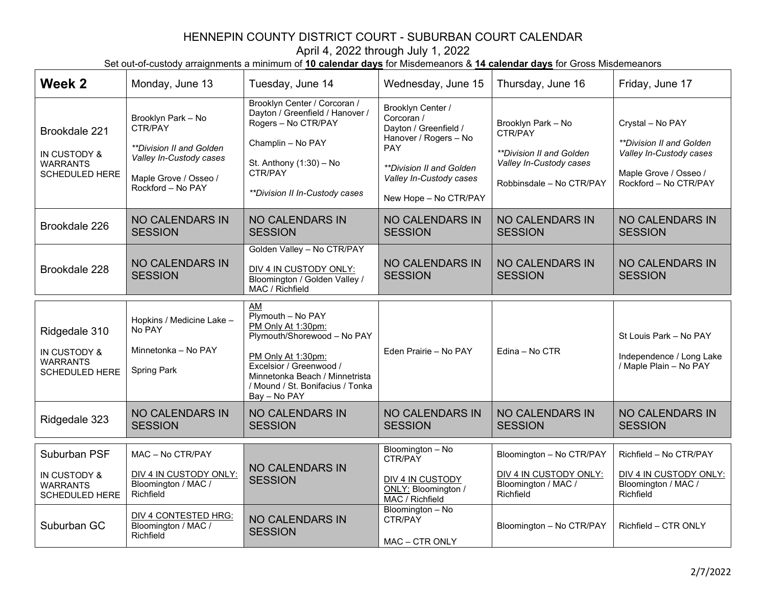| Week 2                                                                    | Monday, June 13                                                                                                                    | Tuesday, June 14                                                                                                                                                                                                       | Wednesday, June 15                                                                                                                                                                            | Thursday, June 16                                                                                                       | Friday, June 17                                                                                                                         |
|---------------------------------------------------------------------------|------------------------------------------------------------------------------------------------------------------------------------|------------------------------------------------------------------------------------------------------------------------------------------------------------------------------------------------------------------------|-----------------------------------------------------------------------------------------------------------------------------------------------------------------------------------------------|-------------------------------------------------------------------------------------------------------------------------|-----------------------------------------------------------------------------------------------------------------------------------------|
| Brookdale 221<br>IN CUSTODY &<br><b>WARRANTS</b><br>SCHEDULED HERE        | Brooklyn Park - No<br>CTR/PAY<br>**Division II and Golden<br>Valley In-Custody cases<br>Maple Grove / Osseo /<br>Rockford - No PAY | Brooklyn Center / Corcoran /<br>Dayton / Greenfield / Hanover /<br>Rogers - No CTR/PAY<br>Champlin - No PAY<br>St. Anthony (1:30) - No<br>CTR/PAY<br>**Division II In-Custody cases                                    | Brooklyn Center /<br>Corcoran /<br>Dayton / Greenfield /<br>Hanover / Rogers - No<br><b>PAY</b><br><i><b>**Division II and Golden</b></i><br>Valley In-Custody cases<br>New Hope - No CTR/PAY | Brooklyn Park - No<br>CTR/PAY<br><i>**Division II and Golden</i><br>Valley In-Custody cases<br>Robbinsdale - No CTR/PAY | Crystal - No PAY<br><i><b>**Division II and Golden</b></i><br>Valley In-Custody cases<br>Maple Grove / Osseo /<br>Rockford - No CTR/PAY |
| Brookdale 226                                                             | <b>NO CALENDARS IN</b><br><b>SESSION</b>                                                                                           | <b>NO CALENDARS IN</b><br><b>SESSION</b>                                                                                                                                                                               | <b>NO CALENDARS IN</b><br><b>SESSION</b>                                                                                                                                                      | <b>NO CALENDARS IN</b><br><b>SESSION</b>                                                                                | <b>NO CALENDARS IN</b><br><b>SESSION</b>                                                                                                |
| Brookdale 228                                                             | <b>NO CALENDARS IN</b><br><b>SESSION</b>                                                                                           | Golden Valley - No CTR/PAY<br>DIV 4 IN CUSTODY ONLY:<br>Bloomington / Golden Valley /<br>MAC / Richfield                                                                                                               | <b>NO CALENDARS IN</b><br><b>SESSION</b>                                                                                                                                                      | <b>NO CALENDARS IN</b><br><b>SESSION</b>                                                                                | <b>NO CALENDARS IN</b><br><b>SESSION</b>                                                                                                |
| Ridgedale 310<br>IN CUSTODY &<br><b>WARRANTS</b><br><b>SCHEDULED HERE</b> | Hopkins / Medicine Lake -<br>No PAY<br>Minnetonka - No PAY<br><b>Spring Park</b>                                                   | AM<br>$Ply$ mouth - No PAY<br>PM Only At 1:30pm:<br>Plymouth/Shorewood - No PAY<br>PM Only At 1:30pm:<br>Excelsior / Greenwood /<br>Minnetonka Beach / Minnetrista<br>/ Mound / St. Bonifacius / Tonka<br>Bay - No PAY | Eden Prairie - No PAY                                                                                                                                                                         | Edina - No CTR                                                                                                          | St Louis Park - No PAY<br>Independence / Long Lake<br>/ Maple Plain - No PAY                                                            |
| Ridgedale 323                                                             | <b>NO CALENDARS IN</b><br><b>SESSION</b>                                                                                           | <b>NO CALENDARS IN</b><br><b>SESSION</b>                                                                                                                                                                               | <b>NO CALENDARS IN</b><br><b>SESSION</b>                                                                                                                                                      | <b>NO CALENDARS IN</b><br><b>SESSION</b>                                                                                | <b>NO CALENDARS IN</b><br><b>SESSION</b>                                                                                                |
| Suburban PSF<br>IN CUSTODY &<br><b>WARRANTS</b><br><b>SCHEDULED HERE</b>  | MAC - No CTR/PAY<br>DIV 4 IN CUSTODY ONLY:<br>Bloomington / MAC /<br>Richfield                                                     | NO CALENDARS IN<br><b>SESSION</b>                                                                                                                                                                                      | Bloomington - No<br>CTR/PAY<br>DIV 4 IN CUSTODY<br>ONLY: Bloomington /<br>MAC / Richfield                                                                                                     | Bloomington - No CTR/PAY<br>DIV 4 IN CUSTODY ONLY:<br>Bloomington / MAC /<br>Richfield                                  | Richfield - No CTR/PAY<br>DIV 4 IN CUSTODY ONLY:<br>Bloomington / MAC /<br>Richfield                                                    |
| Suburban GC                                                               | <b>DIV 4 CONTESTED HRG:</b><br>Bloomington / MAC /<br>Richfield                                                                    | <b>NO CALENDARS IN</b><br><b>SESSION</b>                                                                                                                                                                               | Bloomington - No<br>CTR/PAY<br>MAC - CTR ONLY                                                                                                                                                 | Bloomington - No CTR/PAY                                                                                                | Richfield - CTR ONLY                                                                                                                    |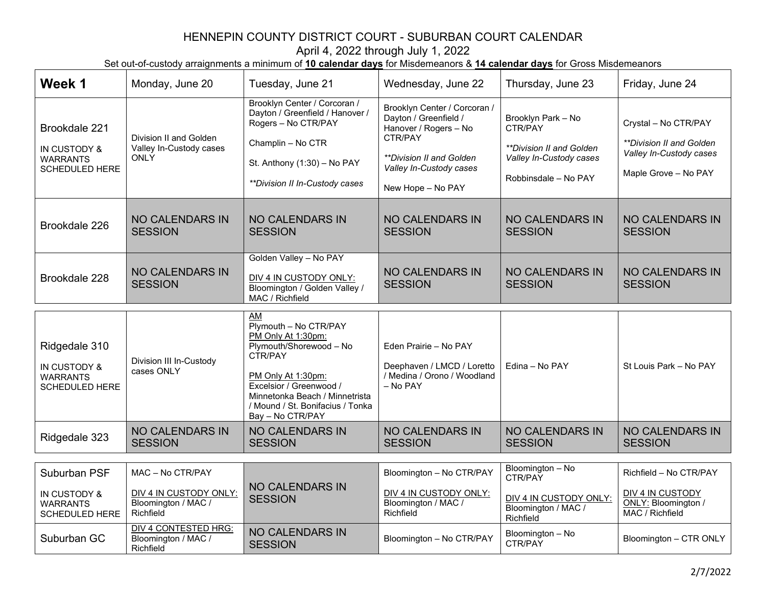| Week 1                                                                    | Monday, June 20                                                                | Tuesday, June 21                                                                                                                                                                                                                   | Wednesday, June 22                                                                                                                                                                  | Thursday, June 23                                                                                                          | Friday, June 24                                                                                     |
|---------------------------------------------------------------------------|--------------------------------------------------------------------------------|------------------------------------------------------------------------------------------------------------------------------------------------------------------------------------------------------------------------------------|-------------------------------------------------------------------------------------------------------------------------------------------------------------------------------------|----------------------------------------------------------------------------------------------------------------------------|-----------------------------------------------------------------------------------------------------|
| Brookdale 221<br>IN CUSTODY &<br><b>WARRANTS</b><br><b>SCHEDULED HERE</b> | Division II and Golden<br>Valley In-Custody cases<br><b>ONLY</b>               | Brooklyn Center / Corcoran /<br>Dayton / Greenfield / Hanover /<br>Rogers - No CTR/PAY<br>Champlin - No CTR<br>St. Anthony (1:30) - No PAY<br>**Division II In-Custody cases                                                       | Brooklyn Center / Corcoran /<br>Dayton / Greenfield /<br>Hanover / Rogers - No<br>CTR/PAY<br><i><b>**Division II and Golden</b></i><br>Valley In-Custody cases<br>New Hope - No PAY | Brooklyn Park - No<br>CTR/PAY<br><i><b>**Division II and Golden</b></i><br>Valley In-Custody cases<br>Robbinsdale - No PAY | Crystal - No CTR/PAY<br>**Division II and Golden<br>Valley In-Custody cases<br>Maple Grove - No PAY |
| Brookdale 226                                                             | <b>NO CALENDARS IN</b><br><b>SESSION</b>                                       | <b>NO CALENDARS IN</b><br><b>SESSION</b>                                                                                                                                                                                           | <b>NO CALENDARS IN</b><br><b>SESSION</b>                                                                                                                                            | <b>NO CALENDARS IN</b><br><b>SESSION</b>                                                                                   | <b>NO CALENDARS IN</b><br><b>SESSION</b>                                                            |
| Brookdale 228                                                             | <b>NO CALENDARS IN</b><br><b>SESSION</b>                                       | Golden Valley - No PAY<br>DIV 4 IN CUSTODY ONLY:<br>Bloomington / Golden Valley /<br>MAC / Richfield                                                                                                                               | <b>NO CALENDARS IN</b><br><b>SESSION</b>                                                                                                                                            | <b>NO CALENDARS IN</b><br><b>SESSION</b>                                                                                   | <b>NO CALENDARS IN</b><br><b>SESSION</b>                                                            |
| Ridgedale 310<br>IN CUSTODY &<br><b>WARRANTS</b><br>SCHEDULED HERE        | Division III In-Custody<br>cases ONLY                                          | AM<br>Plymouth - No CTR/PAY<br>PM Only At 1:30pm:<br>Plymouth/Shorewood - No<br>CTR/PAY<br>PM Only At 1:30pm:<br>Excelsior / Greenwood /<br>Minnetonka Beach / Minnetrista<br>/ Mound / St. Bonifacius / Tonka<br>Bay - No CTR/PAY | Eden Prairie - No PAY<br>Deephaven / LMCD / Loretto<br>/ Medina / Orono / Woodland<br>- No PAY                                                                                      | Edina - No PAY                                                                                                             | St Louis Park - No PAY                                                                              |
| Ridgedale 323                                                             | <b>NO CALENDARS IN</b><br><b>SESSION</b>                                       | <b>NO CALENDARS IN</b><br><b>SESSION</b>                                                                                                                                                                                           | <b>NO CALENDARS IN</b><br><b>SESSION</b>                                                                                                                                            | <b>NO CALENDARS IN</b><br><b>SESSION</b>                                                                                   | <b>NO CALENDARS IN</b><br><b>SESSION</b>                                                            |
| Suburban PSF<br>IN CUSTODY &<br><b>WARRANTS</b><br><b>SCHEDULED HERE</b>  | MAC - No CTR/PAY<br>DIV 4 IN CUSTODY ONLY:<br>Bloomington / MAC /<br>Richfield | <b>NO CALENDARS IN</b><br><b>SESSION</b>                                                                                                                                                                                           | Bloomington - No CTR/PAY<br>DIV 4 IN CUSTODY ONLY:<br>Bloomington / MAC /<br>Richfield                                                                                              | Bloomington - No<br>CTR/PAY<br>DIV 4 IN CUSTODY ONLY:<br>Bloomington / MAC /<br>Richfield                                  | Richfield - No CTR/PAY<br>DIV 4 IN CUSTODY<br>ONLY: Bloomington /<br>MAC / Richfield                |
| Suburban GC                                                               | <b>DIV 4 CONTESTED HRG:</b><br>Bloomington / MAC /<br>Richfield                | <b>NO CALENDARS IN</b><br><b>SESSION</b>                                                                                                                                                                                           | Bloomington - No CTR/PAY                                                                                                                                                            | Bloomington - No<br>CTR/PAY                                                                                                | Bloomington - CTR ONLY                                                                              |